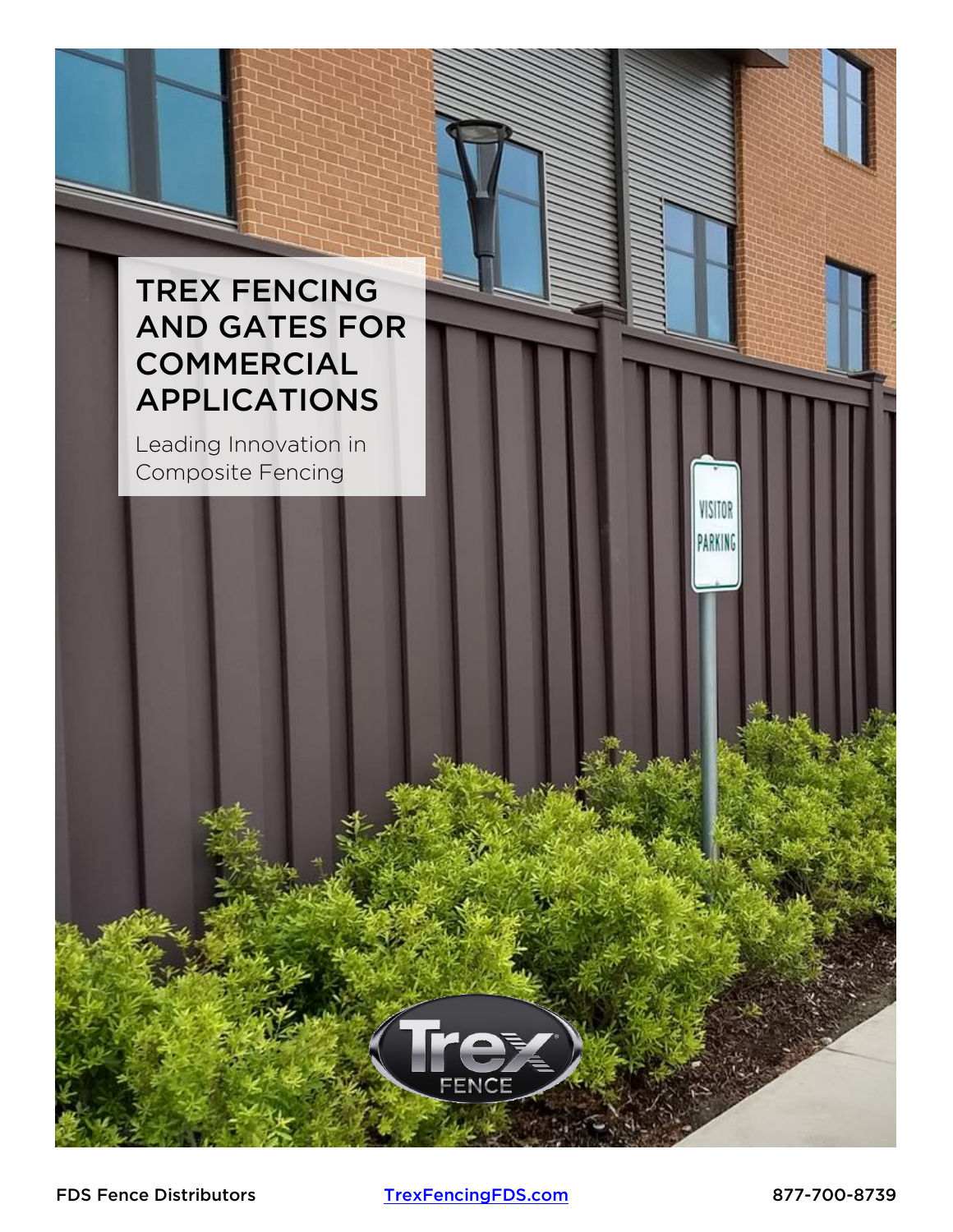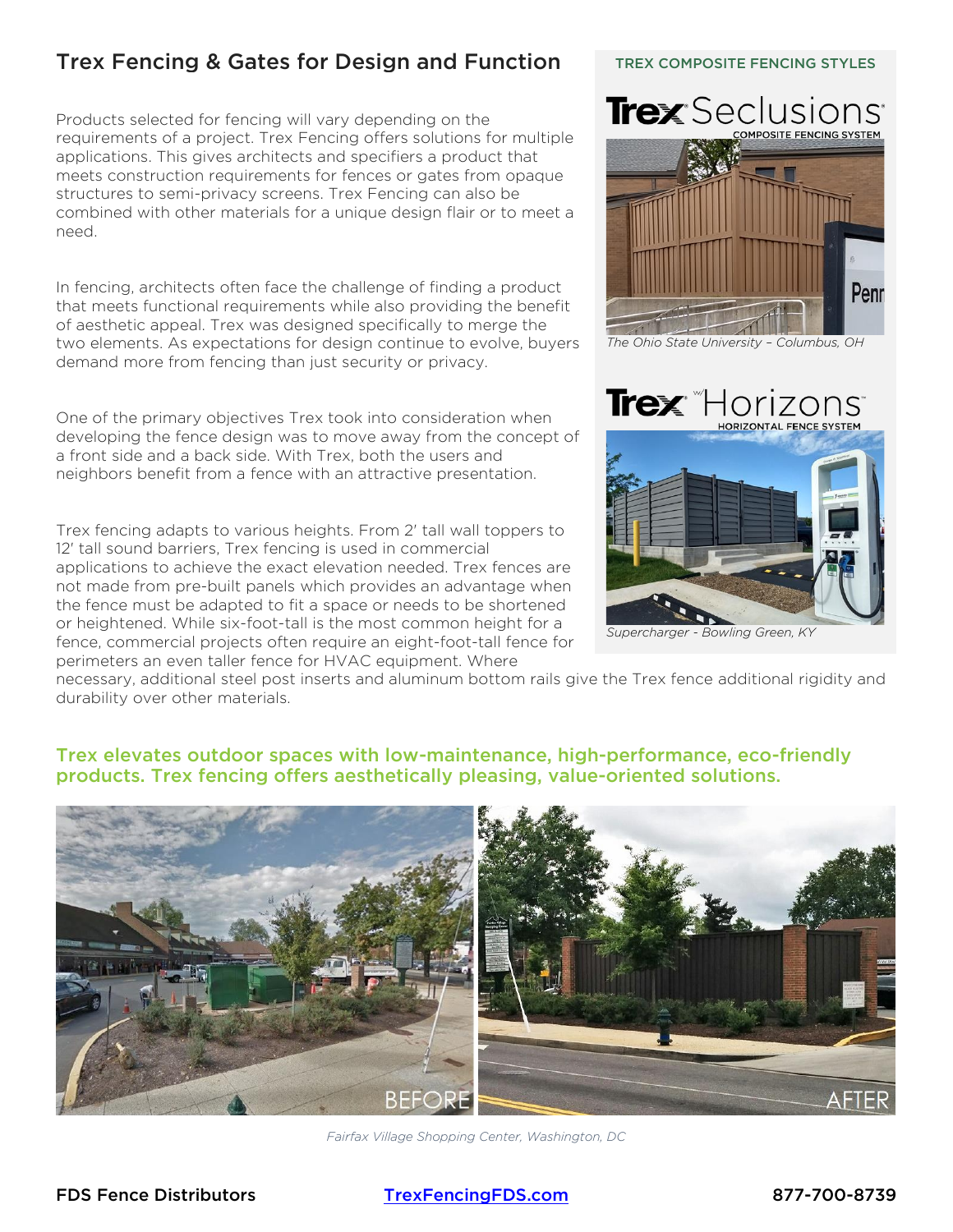### Trex Fencing & Gates for Design and Function

Products selected for fencing will vary depending on the requirements of a project. Trex Fencing offers solutions for multiple applications. This gives architects and specifiers a product that meets construction requirements for fences or gates from opaque structures to semi-privacy screens. Trex Fencing can also be combined with other materials for a unique design flair or to meet a need.

In fencing, architects often face the challenge of finding a product that meets functional requirements while also providing the benefit of aesthetic appeal. Trex was designed specifically to merge the two elements. As expectations for design continue to evolve, buyers demand more from fencing than just security or privacy.

One of the primary objectives Trex took into consideration when developing the fence design was to move away from the concept of a front side and a back side. With Trex, both the users and neighbors benefit from a fence with an attractive presentation.

Trex fencing adapts to various heights. From 2' tall wall toppers to 12' tall sound barriers, Trex fencing is used in commercial applications to achieve the exact elevation needed. Trex fences are not made from pre-built panels which provides an advantage when the fence must be adapted to fit a space or needs to be shortened or heightened. While six-foot-tall is the most common height for a fence, commercial projects often require an eight-foot-tall fence for perimeters an even taller fence for HVAC equipment. Where

# TREX COMPOSITE FENCING STYLES



*The Ohio State University – Columbus, OH*

#### **Trex** Horizons **HORIZONTAL FENCE SYSTEM**



*Supercharger - Bowling Green, KY*

necessary, additional steel post inserts and aluminum bottom rails give the Trex fence additional rigidity and durability over other materials.

#### Trex elevates outdoor spaces with low-maintenance, high-performance, eco-friendly products. Trex fencing offers aesthetically pleasing, value-oriented solutions.



*Fairfax Village Shopping Center, Washington, DC*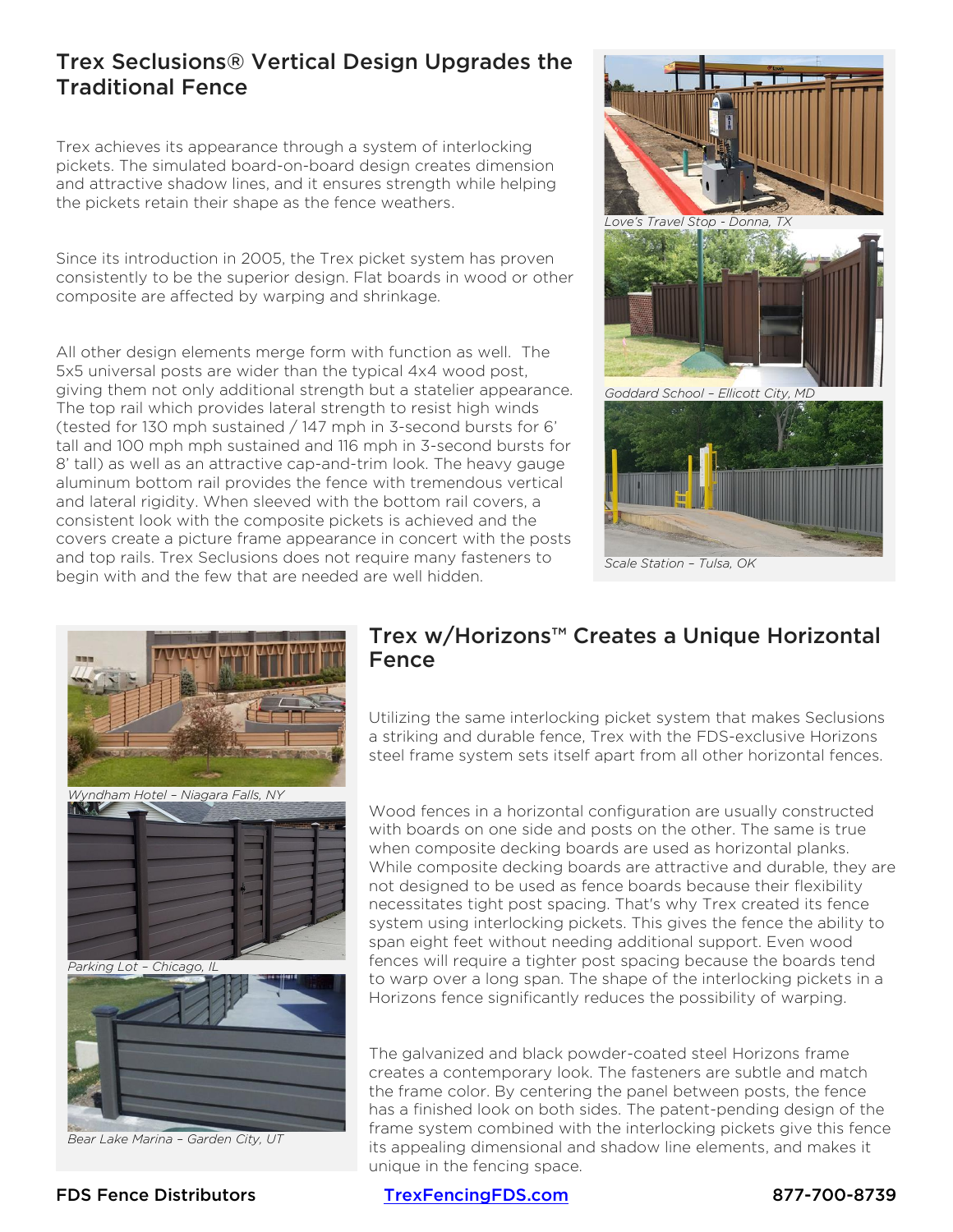#### Trex Seclusions® Vertical Design Upgrades the Traditional Fence

Trex achieves its appearance through a system of interlocking pickets. The simulated board-on-board design creates dimension and attractive shadow lines, and it ensures strength while helping the pickets retain their shape as the fence weathers.

Since its introduction in 2005, the Trex picket system has proven consistently to be the superior design. Flat boards in wood or other composite are affected by warping and shrinkage.

All other design elements merge form with function as well. The 5x5 universal posts are wider than the typical 4x4 wood post, giving them not only additional strength but a statelier appearance. The top rail which provides lateral strength to resist high winds (tested for 130 mph sustained / 147 mph in 3-second bursts for 6' tall and 100 mph mph sustained and 116 mph in 3-second bursts for 8' tall) as well as an attractive cap-and-trim look. The heavy gauge aluminum bottom rail provides the fence with tremendous vertical and lateral rigidity. When sleeved with the bottom rail covers, a consistent look with the composite pickets is achieved and the covers create a picture frame appearance in concert with the posts and top rails. Trex Seclusions does not require many fasteners to begin with and the few that are needed are well hidden.



*Scale Station – Tulsa, OK*



#### Trex w/Horizons™ Creates a Unique Horizontal Fence

Utilizing the same interlocking picket system that makes Seclusions a striking and durable fence, Trex with the FDS-exclusive Horizons steel frame system sets itself apart from all other horizontal fences.

Wood fences in a horizontal configuration are usually constructed with boards on one side and posts on the other. The same is true when composite decking boards are used as horizontal planks. While composite decking boards are attractive and durable, they are not designed to be used as fence boards because their flexibility necessitates tight post spacing. That's why Trex created its fence system using interlocking pickets. This gives the fence the ability to span eight feet without needing additional support. Even wood fences will require a tighter post spacing because the boards tend to warp over a long span. The shape of the interlocking pickets in a Horizons fence significantly reduces the possibility of warping.

The galvanized and black powder-coated steel Horizons frame creates a contemporary look. The fasteners are subtle and match the frame color. By centering the panel between posts, the fence has a finished look on both sides. The patent-pending design of the frame system combined with the interlocking pickets give this fence its appealing dimensional and shadow line elements, and makes it unique in the fencing space.

#### FDS Fence Distributors [TrexFencingFDS.com](https://www.trexfencingfds.com/resources/architects-engineers/) 877-700-8739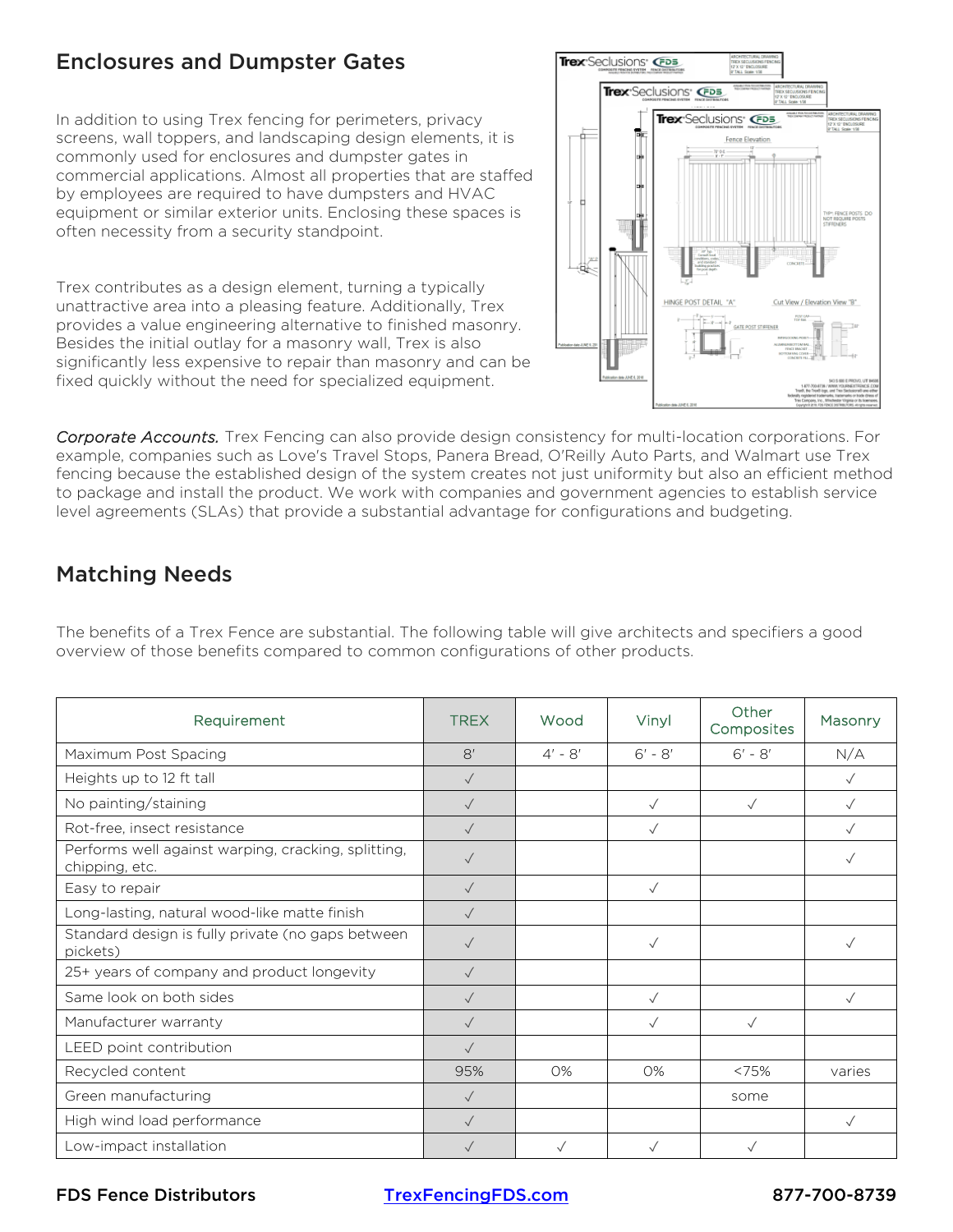#### Enclosures and Dumpster Gates

In addition to using Trex fencing for perimeters, privacy screens, wall toppers, and landscaping design elements, it is commonly used for enclosures and dumpster gates in commercial applications. Almost all properties that are staffed by employees are required to have dumpsters and HVAC equipment or similar exterior units. Enclosing these spaces is often necessity from a security standpoint.

Trex contributes as a design element, turning a typically unattractive area into a pleasing feature. Additionally, Trex provides a value engineering alternative to finished masonry. Besides the initial outlay for a masonry wall, Trex is also significantly less expensive to repair than masonry and can be fixed quickly without the need for specialized equipment.



*Corporate Accounts.* Trex Fencing can also provide design consistency for multi-location corporations. For example, companies such as Love's Travel Stops, Panera Bread, O'Reilly Auto Parts, and Walmart use Trex fencing because the established design of the system creates not just uniformity but also an efficient method to package and install the product. We work with companies and government agencies to establish service level agreements (SLAs) that provide a substantial advantage for configurations and budgeting.

## Matching Needs

The benefits of a Trex Fence are substantial. The following table will give architects and specifiers a good overview of those benefits compared to common configurations of other products.

| Requirement                                                           | <b>TREX</b>   | Wood      | Vinyl        | Other<br>Composites | <b>Masonry</b> |
|-----------------------------------------------------------------------|---------------|-----------|--------------|---------------------|----------------|
| Maximum Post Spacing                                                  | $\mathsf{R}'$ | $4' - 8'$ | $6' - 8'$    | $6' - 8'$           | N/A            |
| Heights up to 12 ft tall                                              | $\sqrt{}$     |           |              |                     | $\checkmark$   |
| No painting/staining                                                  | $\sqrt{}$     |           | $\sqrt{}$    | $\sqrt{}$           | $\sqrt{}$      |
| Rot-free, insect resistance                                           | $\sqrt{}$     |           |              |                     | $\sqrt{}$      |
| Performs well against warping, cracking, splitting,<br>chipping, etc. | $\sqrt{}$     |           |              |                     | $\checkmark$   |
| Easy to repair                                                        | $\sqrt{}$     |           | $\sqrt{}$    |                     |                |
| Long-lasting, natural wood-like matte finish                          | $\checkmark$  |           |              |                     |                |
| Standard design is fully private (no gaps between<br>pickets)         | $\checkmark$  |           | $\sqrt{}$    |                     | $\checkmark$   |
| 25+ years of company and product longevity                            | $\sqrt{}$     |           |              |                     |                |
| Same look on both sides                                               | $\sqrt{}$     |           | $\checkmark$ |                     | $\sqrt{}$      |
| Manufacturer warranty                                                 | $\sqrt{}$     |           | $\checkmark$ | $\sqrt{}$           |                |
| LEED point contribution                                               | $\sqrt{}$     |           |              |                     |                |
| Recycled content                                                      | 95%           | $O\%$     | $O\%$        | < 75%               | varies         |
| Green manufacturing                                                   | $\sqrt{}$     |           |              | some                |                |
| High wind load performance                                            | $\sqrt{}$     |           |              |                     | $\sqrt{}$      |
| Low-impact installation                                               | $\sqrt{}$     |           |              |                     |                |

FDS Fence Distributors [TrexFencingFDS.com](https://www.trexfencingfds.com/resources/architects-engineers/) 877-700-8739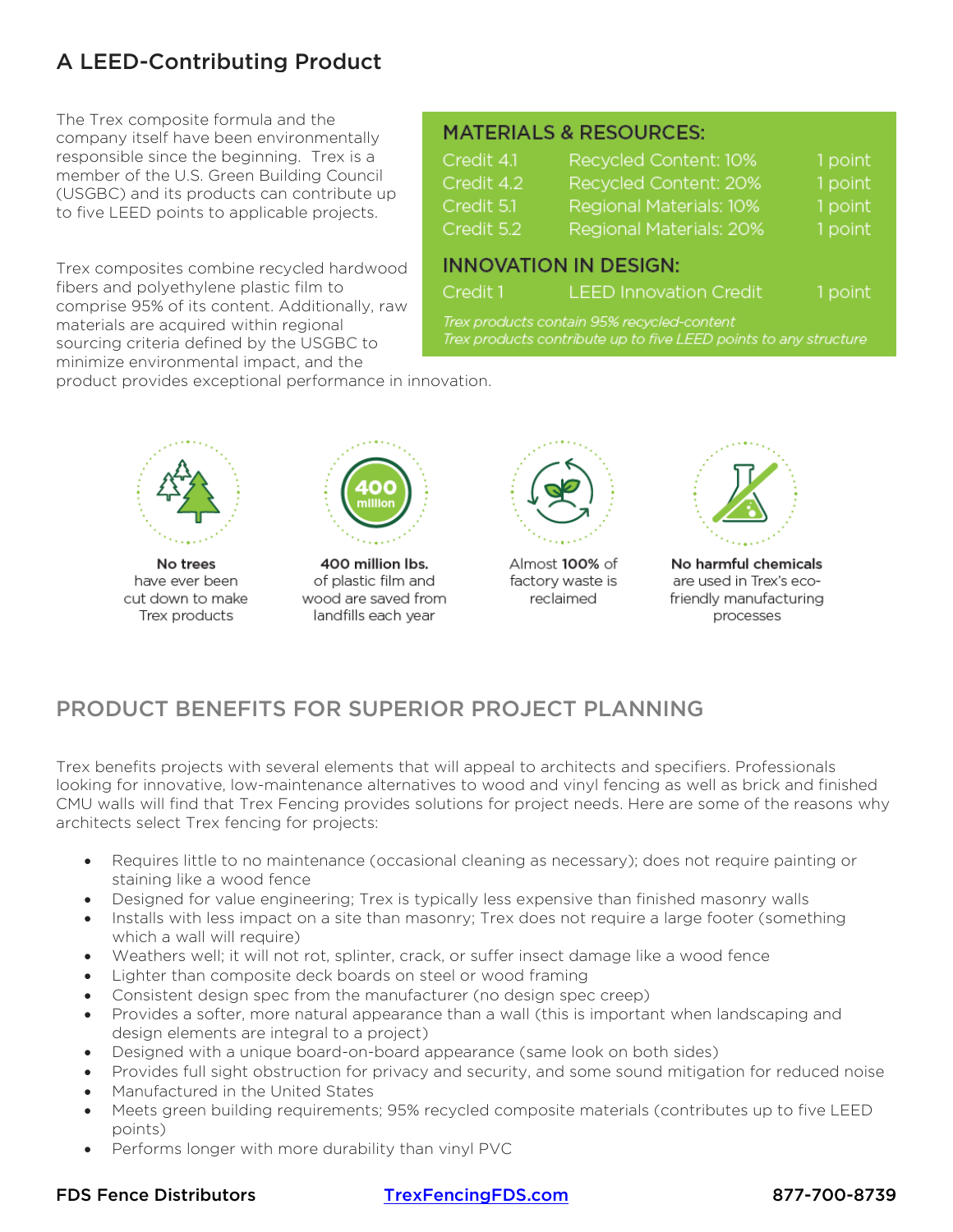# A LEED-Contributing Product

The Trex composite formula and the company itself have been environmentally responsible since the beginning. Trex is a member of the U.S. Green Building Council (USGBC) and its products can contribute up to five LEED points to applicable projects.

Trex composites combine recycled hardwood fibers and polyethylene plastic film to comprise 95% of its content. Additionally, raw materials are acquired within regional sourcing criteria defined by the USGBC to minimize environmental impact, and the

#### **MATERIALS & RESOURCES:**

| Credit 4.1 | Recycled Content: 10%   | 1 point |
|------------|-------------------------|---------|
| Credit 4.2 | Recycled Content: 20%   | 1 point |
| Credit 5.1 | Regional Materials: 10% | 1 point |
| Credit 5.2 | Regional Materials: 20% | 1 point |
|            |                         |         |

#### **INNOVATION IN DESIGN:**

Credit 1 **LEED Innovation Credit** 

1 point

Trex products contain 95% recycled-content Trex products contribute up to five LEED points to any structure

product provides exceptional performance in innovation.



No trees have ever been cut down to make Trex products



400 million lbs. of plastic film and wood are saved from landfills each year



Almost 100% of factory waste is reclaimed



No harmful chemicals are used in Trex's ecofriendly manufacturing processes

# PRODUCT BENEFITS FOR SUPERIOR PROJECT PLANNING

Trex benefits projects with several elements that will appeal to architects and specifiers. Professionals looking for innovative, low-maintenance alternatives to wood and vinyl fencing as well as brick and finished CMU walls will find that Trex Fencing provides solutions for project needs. Here are some of the reasons why architects select Trex fencing for projects:

- Requires little to no maintenance (occasional cleaning as necessary); does not require painting or staining like a wood fence
- Designed for value engineering; Trex is typically less expensive than finished masonry walls
- Installs with less impact on a site than masonry; Trex does not require a large footer (something which a wall will require)
- Weathers well; it will not rot, splinter, crack, or suffer insect damage like a wood fence
- Lighter than composite deck boards on steel or wood framing
- Consistent design spec from the manufacturer (no design spec creep)
- Provides a softer, more natural appearance than a wall (this is important when landscaping and design elements are integral to a project)
- Designed with a unique board-on-board appearance (same look on both sides)
- Provides full sight obstruction for privacy and security, and some sound mitigation for reduced noise
- Manufactured in the United States
- Meets green building requirements; 95% recycled composite materials (contributes up to five LEED points)
- Performs longer with more durability than vinyl PVC

FDS Fence Distributors [TrexFencingFDS.com](https://www.trexfencingfds.com/resources/architects-engineers/) 877-700-8739